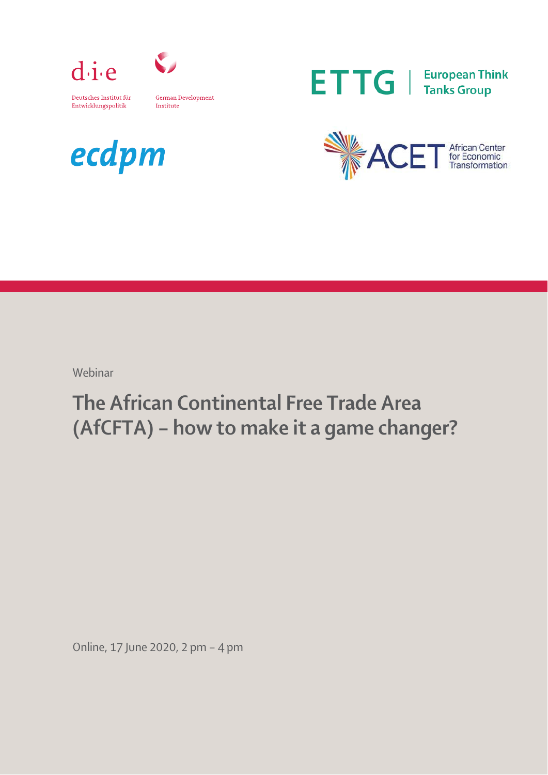



German Development Entwicklungspolitik Institute







Webinar

## The African Continental Free Trade Area (AfCFTA) – how to make it a game changer?

Online, 17 June 2020, 2 pm – 4 pm